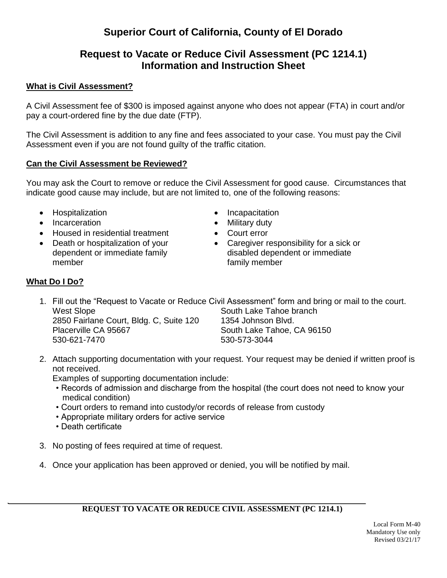# **Superior Court of California, County of El Dorado**

## **Request to Vacate or Reduce Civil Assessment (PC 1214.1) Information and Instruction Sheet**

### **What is Civil Assessment?**

A Civil Assessment fee of \$300 is imposed against anyone who does not appear (FTA) in court and/or pay a court-ordered fine by the due date (FTP).

The Civil Assessment is addition to any fine and fees associated to your case. You must pay the Civil Assessment even if you are not found guilty of the traffic citation.

#### **Can the Civil Assessment be Reviewed?**

You may ask the Court to remove or reduce the Civil Assessment for good cause. Circumstances that indicate good cause may include, but are not limited to, one of the following reasons:

- Hospitalization **Internal Contract Contract Contract Contract Contract Contract Contract Contract Contract Contract Contract Contract Contract Contract Contract Contract Contract Contract Contract Contract Contract Contr**
- Incarceration Military duty
- Housed in residential treatment Court error
- Death or hospitalization of your dependent or immediate family member
- 
- 
- 
- Caregiver responsibility for a sick or disabled dependent or immediate family member

#### **What Do I Do?**

1. Fill out the "Request to Vacate or Reduce Civil Assessment" form and bring or mail to the court. West Slope 2850 Fairlane Court, Bldg. C, Suite 120 South Lake Tahoe branch

Placerville CA 95667 530-621-7470

1354 Johnson Blvd. South Lake Tahoe, CA 96150 530-573-3044

2. Attach supporting documentation with your request. Your request may be denied if written proof is not received.

Examples of supporting documentation include:

- Records of admission and discharge from the hospital (the court does not need to know your medical condition)
- Court orders to remand into custody/or records of release from custody
- Appropriate military orders for active service
- Death certificate
- 3. No posting of fees required at time of request.
- 4. Once your application has been approved or denied, you will be notified by mail.